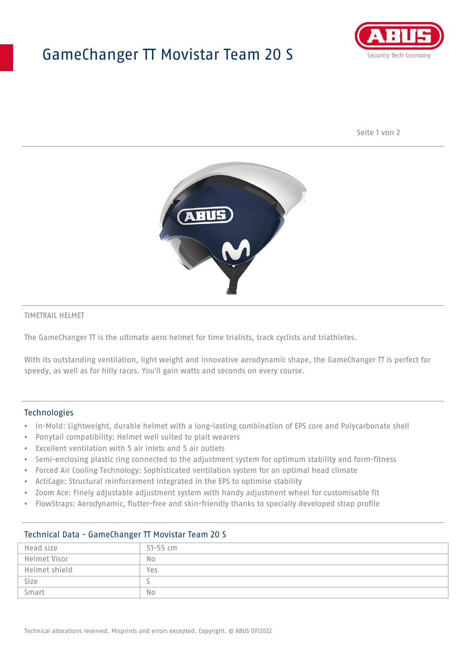# GameChanger TT Movistar Team 20 S



Seite 1 von 2



#### TIMETRAIL HELMET

The GameChanger TT is the ultimate aero helmet for time trialists, track cyclists and triathletes.

With its outstanding ventilation, light weight and innovative aerodynamic shape, the GameChanger TT is perfect for speedy, as well as for hilly races. You'll gain watts and seconds on every course.

#### Technologies

- In-Mold: Lightweight, durable helmet with a long-lasting combination of EPS core and Polycarbonate shell
- Ponytail compatibility: Helmet well suited to plait wearers
- Excellent ventilation with 5 air inlets and 5 air outlets
- Semi-enclosing plastic ring connected to the adjustment system for optimum stability and form-fitness
- Forced Air Cooling Technology: Sophisticated ventilation system for an optimal head climate
- ActiCage: Structural reinforcement integrated in the EPS to optimise stability
- Zoom Ace: Finely adjustable adjustment system with handy adjustment wheel for customisable fit
- FlowStraps: Aerodynamic, flutter-free and skin-friendly thanks to specially developed strap profile

| Head size     | $51 - 55$ cm   |
|---------------|----------------|
| Helmet Visor  | N <sub>0</sub> |
| Helmet shield | Yes            |
| Size          |                |
| Smart         | N <sub>o</sub> |

## Technical Data - GameChanger TT Movistar Team 20 S